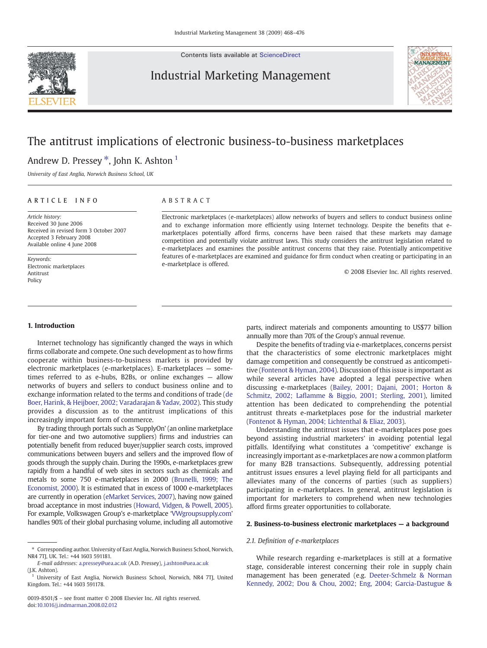

Contents lists available at [ScienceDirect](http://www.sciencedirect.com/science/journal/00198501)

### Industrial Marketing Management



## The antitrust implications of electronic business-to-business marketplaces

Andrew D. Pressey  $*$ , John K. Ashton <sup>1</sup>

University of East Anglia, Norwich Business School, UK

### ARTICLE INFO ABSTRACT

Article history: Received 30 June 2006 Received in revised form 3 October 2007 Accepted 3 February 2008 Available online 4 June 2008

Keywords: Electronic marketplaces Antitrust Policy

Electronic marketplaces (e-marketplaces) allow networks of buyers and sellers to conduct business online and to exchange information more efficiently using Internet technology. Despite the benefits that emarketplaces potentially afford firms, concerns have been raised that these markets may damage competition and potentially violate antitrust laws. This study considers the antitrust legislation related to e-marketplaces and examines the possible antitrust concerns that they raise. Potentially anticompetitive features of e-marketplaces are examined and guidance for firm conduct when creating or participating in an e-marketplace is offered.

© 2008 Elsevier Inc. All rights reserved.

#### 1. Introduction

Internet technology has significantly changed the ways in which firms collaborate and compete. One such development as to how firms cooperate within business-to-business markets is provided by electronic marketplaces (e-marketplaces). E-marketplaces — sometimes referred to as e-hubs, B2Bs, or online exchanges — allow networks of buyers and sellers to conduct business online and to exchange information related to the terms and conditions of trade ([de](#page--1-0) [Boer, Harink, & Heijboer, 2002; Varadarajan & Yadav, 2002](#page--1-0)). This study provides a discussion as to the antitrust implications of this increasingly important form of commerce.

By trading through portals such as 'SupplyOn' (an online marketplace for tier-one and two automotive suppliers) firms and industries can potentially benefit from reduced buyer/supplier search costs, improved communications between buyers and sellers and the improved flow of goods through the supply chain. During the 1990s, e-marketplaces grew rapidly from a handful of web sites in sectors such as chemicals and metals to some 750 e-marketplaces in 2000 [\(Brunelli, 1999; The](#page--1-0) [Economist, 2000](#page--1-0)). It is estimated that in excess of 1000 e-marketplaces are currently in operation [\(eMarket Services, 2007\)](#page--1-0), having now gained broad acceptance in most industries [\(Howard, Vidgen, & Powell, 2005](#page--1-0)). For example, Volkswagen Group's e-marketplace '[VWgroupsupply.com](http://VWgroupsupply.com)' handles 90% of their global purchasing volume, including all automotive

parts, indirect materials and components amounting to US\$77 billion annually more than 70% of the Group's annual revenue.

Despite the benefits of trading via e-marketplaces, concerns persist that the characteristics of some electronic marketplaces might damage competition and consequently be construed as anticompetitive ([Fontenot & Hyman, 2004](#page--1-0)). Discussion of this issue is important as while several articles have adopted a legal perspective when discussing e-marketplaces [\(Bailey, 2001; Dajani, 2001; Horton &](#page--1-0) Schmitz, 2002; Lafl[amme & Biggio, 2001; Sterling, 2001\)](#page--1-0), limited attention has been dedicated to comprehending the potential antitrust threats e-marketplaces pose for the industrial marketer ([Fontenot & Hyman, 2004; Lichtenthal & Eliaz, 2003\)](#page--1-0).

Understanding the antitrust issues that e-marketplaces pose goes beyond assisting industrial marketers' in avoiding potential legal pitfalls. Identifying what constitutes a 'competitive' exchange is increasingly important as e-marketplaces are now a common platform for many B2B transactions. Subsequently, addressing potential antitrust issues ensures a level playing field for all participants and alleviates many of the concerns of parties (such as suppliers) participating in e-marketplaces. In general, antitrust legislation is important for marketers to comprehend when new technologies afford firms greater opportunities to collaborate.

#### 2. Business-to-business electronic marketplaces — a background

#### 2.1. Definition of e-marketplaces

While research regarding e-marketplaces is still at a formative stage, considerable interest concerning their role in supply chain management has been generated (e.g. [Deeter-Schmelz & Norman](#page--1-0) [Kennedy, 2002; Dou & Chou, 2002; Eng, 2004; Garcia-Dastugue &](#page--1-0)

<sup>⁎</sup> Corresponding author. University of East Anglia, Norwich Business School, Norwich, NR4 7TJ, UK. Tel.: +44 1603 591181.

E-mail addresses: [a.pressey@uea.ac.uk](mailto:a.pressey@uea.ac.uk) (A.D. Pressey), [j.ashton@uea.ac.uk](mailto:j.ashton@uea.ac.uk) (J.K. Ashton).

<sup>&</sup>lt;sup>1</sup> University of East Anglia, Norwich Business School, Norwich, NR4 7TJ, United Kingdom. Tel.: +44 1603 591178.

<sup>0019-8501/\$</sup> – see front matter © 2008 Elsevier Inc. All rights reserved. doi[:10.1016/j.indmarman.2008.02.012](http://dx.doi.org/10.1016/j.indmarman.2008.02.012)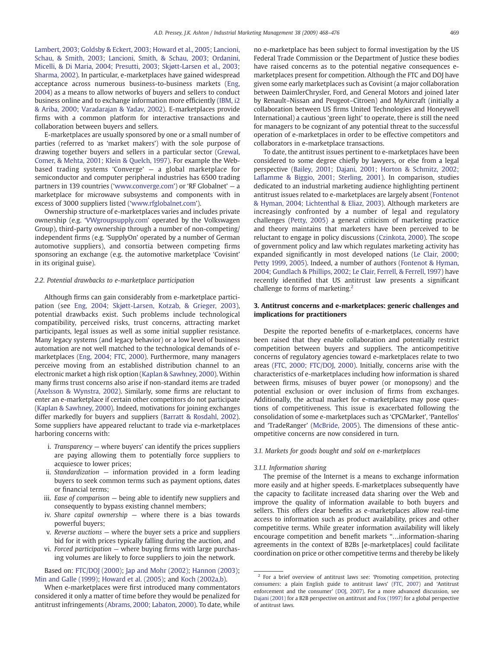[Lambert, 2003; Goldsby & Eckert, 2003; Howard et al., 2005; Lancioni,](#page--1-0) [Schau, & Smith, 2003; Lancioni, Smith, & Schau, 2003; Ordanini,](#page--1-0) [Micelli, & Di Maria, 2004; Presutti, 2003; Skjøtt-Larsen et al., 2003;](#page--1-0) [Sharma, 2002\)](#page--1-0). In particular, e-marketplaces have gained widespread acceptance across numerous business-to-business markets ([Eng,](#page--1-0) [2004](#page--1-0)) as a means to allow networks of buyers and sellers to conduct business online and to exchange information more efficiently [\(IBM, i2](#page--1-0) [& Ariba, 2000; Varadarajan & Yadav, 2002\)](#page--1-0). E-marketplaces provide firms with a common platform for interactive transactions and collaboration between buyers and sellers.

E-marketplaces are usually sponsored by one or a small number of parties (referred to as 'market makers') with the sole purpose of drawing together buyers and sellers in a particular sector [\(Grewal,](#page--1-0) [Comer, & Mehta, 2001; Klein & Quelch, 1997\)](#page--1-0). For example the Webbased trading systems 'Converge' — a global marketplace for semiconductor and computer peripheral industries has 6500 trading partners in 139 countries ('[www.converge.com](http://www.converge.com)') or 'RF Globalnet' — a marketplace for microwave subsystems and components with in excess of 3000 suppliers listed ('[www.rfglobalnet.com](http://www.rfglobalnet.com)').

Ownership structure of e-marketplaces varies and includes private ownership (e.g. '[VWgroupsupply.com](http://VWgroupsupply.com)' operated by the Volkswagen Group), third-party ownership through a number of non-competing/ independent firms (e.g. 'SupplyOn' operated by a number of German automotive suppliers), and consortia between competing firms sponsoring an exchange (e.g. the automotive marketplace 'Covisint' in its original guise).

#### 2.2. Potential drawbacks to e-marketplace participation

Although firms can gain considerably from e-marketplace participation (see [Eng, 2004; Skjøtt-Larsen, Kotzab, & Grieger, 2003\)](#page--1-0), potential drawbacks exist. Such problems include technological compatibility, perceived risks, trust concerns, attracting market participants, legal issues as well as some initial supplier resistance. Many legacy systems (and legacy behavior) or a low level of business automation are not well matched to the technological demands of emarketplaces ([Eng, 2004; FTC, 2000](#page--1-0)). Furthermore, many managers perceive moving from an established distribution channel to an electronic market a high risk option ([Kaplan & Sawhney, 2000\)](#page--1-0). Within many firms trust concerns also arise if non-standard items are traded [\(Axelsson & Wynstra, 2002\)](#page--1-0). Similarly, some firms are reluctant to enter an e-marketplace if certain other competitors do not participate [\(Kaplan & Sawhney, 2000](#page--1-0)). Indeed, motivations for joining exchanges differ markedly for buyers and suppliers ([Barratt & Rosdahl, 2002\)](#page--1-0). Some suppliers have appeared reluctant to trade via e-marketplaces harboring concerns with:

- i. Transparency where buyers' can identify the prices suppliers are paying allowing them to potentially force suppliers to acquiesce to lower prices;
- ii. Standardization information provided in a form leading buyers to seek common terms such as payment options, dates or financial terms;
- iii. Ease of comparison being able to identify new suppliers and consequently to bypass existing channel members;
- iv. Share capital ownership  $-$  where there is a bias towards powerful buyers;
- v. Reverse auctions where the buyer sets a price and suppliers bid for it with prices typically falling during the auction, and
- vi. Forced participation where buying firms with large purchasing volumes are likely to force suppliers to join the network.

Based on: [FTC/DOJ \(2000\);](#page--1-0) [Jap and Mohr \(2002\)](#page--1-0); [Hannon \(2003\);](#page--1-0) [Min and Galle \(1999\);](#page--1-0) [Howard et al. \(2005\)](#page--1-0); and [Koch \(2002a,b](#page--1-0)).

no e-marketplace has been subject to formal investigation by the US Federal Trade Commission or the Department of Justice these bodies have raised concerns as to the potential negative consequences emarketplaces present for competition. Although the FTC and DOJ have given some early marketplaces such as Covisint (a major collaboration between DaimlerChrysler, Ford, and General Motors and joined later by Renault–Nissan and Peugeot–Citroen) and MyAircraft (initially a collaboration between US firms United Technologies and Honeywell International) a cautious 'green light' to operate, there is still the need for managers to be cognizant of any potential threat to the successful operation of e-marketplaces in order to be effective competitors and collaborators in e-marketplace transactions.

To date, the antitrust issues pertinent to e-marketplaces have been considered to some degree chiefly by lawyers, or else from a legal perspective [\(Bailey, 2001; Dajani, 2001; Horton & Schmitz, 2002;](#page--1-0) Lafl[amme & Biggio, 2001; Sterling, 2001](#page--1-0)). In comparison, studies dedicated to an industrial marketing audience highlighting pertinent antitrust issues related to e-marketplaces are largely absent [\(Fontenot](#page--1-0) [& Hyman, 2004; Lichtenthal & Eliaz, 2003](#page--1-0)). Although marketers are increasingly confronted by a number of legal and regulatory challenges ([Petty, 2005](#page--1-0)) a general criticism of marketing practice and theory maintains that marketers have been perceived to be reluctant to engage in policy discussions ([Czinkota, 2000](#page--1-0)). The scope of government policy and law which regulates marketing activity has expanded significantly in most developed nations [\(Le Clair, 2000;](#page--1-0) [Petty 1999, 2005\)](#page--1-0). Indeed, a number of authors [\(Fontenot & Hyman,](#page--1-0) [2004; Gundlach & Phillips, 2002; Le Clair, Ferrell, & Ferrell, 1997\)](#page--1-0) have recently identified that US antitrust law presents a significant challenge to forms of marketing.<sup>2</sup>

#### 3. Antitrust concerns and e-marketplaces: generic challenges and implications for practitioners

Despite the reported benefits of e-marketplaces, concerns have been raised that they enable collaboration and potentially restrict competition between buyers and suppliers. The anticompetitive concerns of regulatory agencies toward e-marketplaces relate to two areas ([FTC, 2000; FTC/DOJ, 2000](#page--1-0)). Initially, concerns arise with the characteristics of e-marketplaces including how information is shared between firms, misuses of buyer power (or monopsony) and the potential exclusion or over inclusion of firms from exchanges. Additionally, the actual market for e-marketplaces may pose questions of competitiveness. This issue is exacerbated following the consolidation of some e-marketplaces such as 'CPGMarket', 'Pantellos' and 'TradeRanger' [\(McBride, 2005\)](#page--1-0). The dimensions of these anticompetitive concerns are now considered in turn.

#### 3.1. Markets for goods bought and sold on e-marketplaces

#### 3.1.1. Information sharing

The premise of the Internet is a means to exchange information more easily and at higher speeds. E-marketplaces subsequently have the capacity to facilitate increased data sharing over the Web and improve the quality of information available to both buyers and sellers. This offers clear benefits as e-marketplaces allow real-time access to information such as product availability, prices and other competitive terms. While greater information availability will likely encourage competition and benefit markets "…information-sharing agreements in the context of B2Bs [e-marketplaces] could facilitate coordination on price or other competitive terms and thereby be likely

When e-marketplaces were first introduced many commentators considered it only a matter of time before they would be penalized for antitrust infringements [\(Abrams, 2000; Labaton, 2000](#page--1-0)). To date, while

 $2$  For a brief overview of antitrust laws see: 'Promoting competition, protecting consumers: a plain English guide to antitrust laws' [\(FTC, 2007](#page--1-0)) and 'Antitrust enforcement and the consumer' ([DOJ, 2007\)](#page--1-0). For a more advanced discussion, see [Dajani \(2001\)](#page--1-0) for a B2B perspective on antitrust and [Fox \(1997\)](#page--1-0) for a global perspective of antitrust laws.